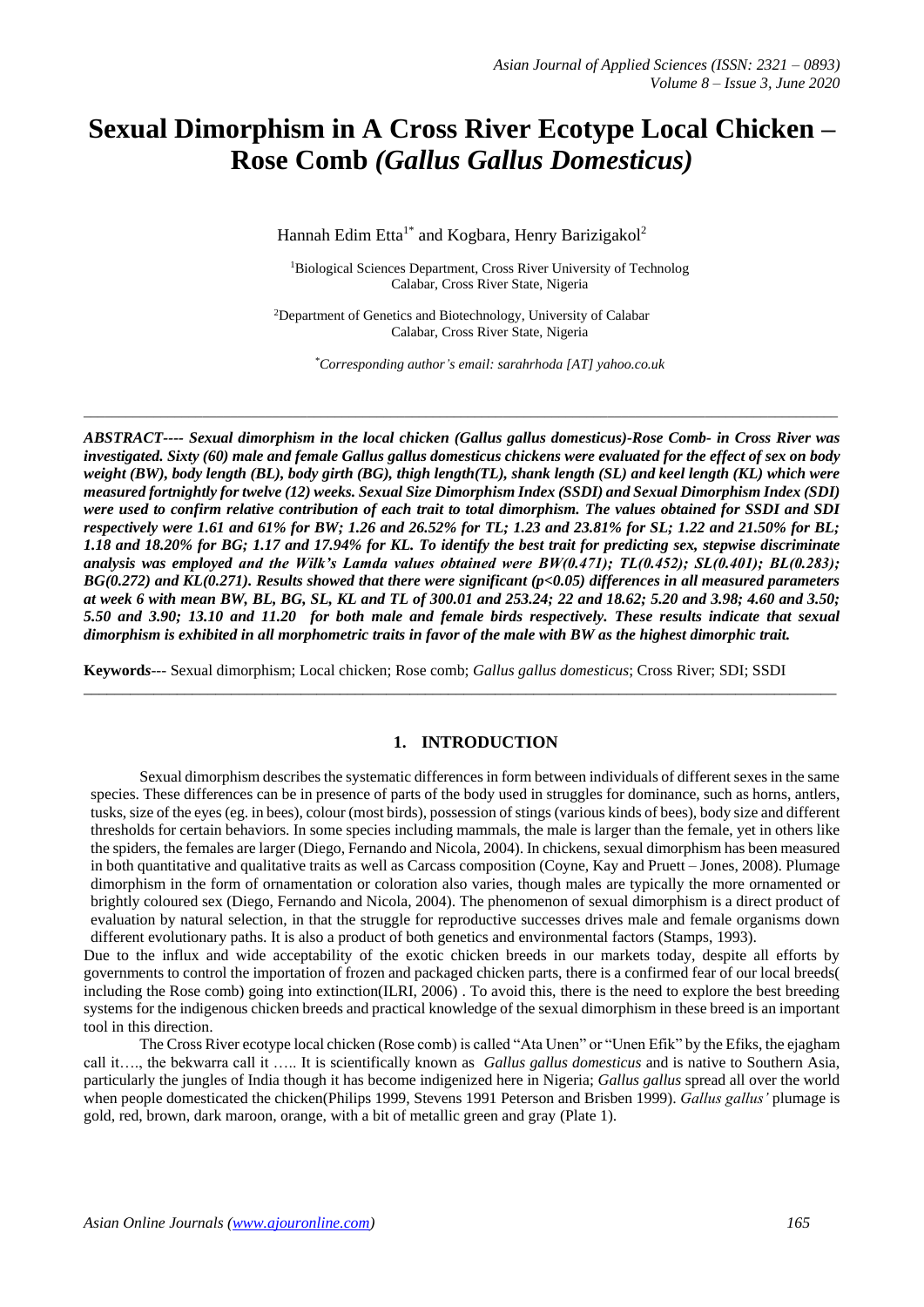# **Sexual Dimorphism in A Cross River Ecotype Local Chicken – Rose Comb** *(Gallus Gallus Domesticus)*

Hannah Edim Etta<sup>1\*</sup> and Kogbara, Henry Barizigakol<sup>2</sup>

<sup>1</sup>Biological Sciences Department, Cross River University of Technolog Calabar, Cross River State, Nigeria

<sup>2</sup>Department of Genetics and Biotechnology, University of Calabar Calabar, Cross River State, Nigeria

*\_\_\_\_\_\_\_\_\_\_\_\_\_\_\_\_\_\_\_\_\_\_\_\_\_\_\_\_\_\_\_\_\_\_\_\_\_\_\_\_\_\_\_\_\_\_\_\_\_\_\_\_\_\_\_\_\_\_\_\_\_\_\_\_\_\_\_\_\_\_\_\_\_\_\_\_\_\_\_\_\_\_\_\_\_\_\_\_\_\_\_\_\_\_\_\_\_\_\_\_\_\_\_\_\_\_\_\_*

*\*Corresponding author's email: sarahrhoda [AT] yahoo.co.uk*

*ABSTRACT---- Sexual dimorphism in the local chicken (Gallus gallus domesticus)-Rose Comb- in Cross River was investigated. Sixty (60) male and female Gallus gallus domesticus chickens were evaluated for the effect of sex on body weight (BW), body length (BL), body girth (BG), thigh length(TL), shank length (SL) and keel length (KL) which were measured fortnightly for twelve (12) weeks. Sexual Size Dimorphism Index (SSDI) and Sexual Dimorphism Index (SDI) were used to confirm relative contribution of each trait to total dimorphism. The values obtained for SSDI and SDI respectively were 1.61 and 61% for BW; 1.26 and 26.52% for TL; 1.23 and 23.81% for SL; 1.22 and 21.50% for BL; 1.18 and 18.20% for BG; 1.17 and 17.94% for KL. To identify the best trait for predicting sex, stepwise discriminate analysis was employed and the Wilk's Lamda values obtained were BW(0.471); TL(0.452); SL(0.401); BL(0.283); BG(0.272) and KL(0.271). Results showed that there were significant (p<0.05) differences in all measured parameters at week 6 with mean BW, BL, BG, SL, KL and TL of 300.01 and 253.24; 22 and 18.62; 5.20 and 3.98; 4.60 and 3.50; 5.50 and 3.90; 13.10 and 11.20 for both male and female birds respectively. These results indicate that sexual dimorphism is exhibited in all morphometric traits in favor of the male with BW as the highest dimorphic trait.*

**Keyword***s---* Sexual dimorphism; Local chicken; Rose comb; *Gallus gallus domesticus*; Cross River; SDI; SSDI

# **1. INTRODUCTION**

 $\_$  ,  $\_$  ,  $\_$  ,  $\_$  ,  $\_$  ,  $\_$  ,  $\_$  ,  $\_$  ,  $\_$  ,  $\_$  ,  $\_$  ,  $\_$  ,  $\_$  ,  $\_$  ,  $\_$  ,  $\_$  ,  $\_$  ,  $\_$  ,  $\_$  ,  $\_$  ,  $\_$  ,  $\_$  ,  $\_$  ,  $\_$  ,  $\_$  ,  $\_$  ,  $\_$  ,  $\_$  ,  $\_$  ,  $\_$  ,  $\_$  ,  $\_$  ,  $\_$  ,  $\_$  ,  $\_$  ,  $\_$  ,  $\_$  ,

Sexual dimorphism describes the systematic differences in form between individuals of different sexes in the same species. These differences can be in presence of parts of the body used in struggles for dominance, such as horns, antlers, tusks, size of the eyes (eg. in bees), colour (most birds), possession of stings (various kinds of bees), body size and different thresholds for certain behaviors. In some species including mammals, the male is larger than the female, yet in others like the spiders, the females are larger (Diego, Fernando and Nicola, 2004). In chickens, sexual dimorphism has been measured in both quantitative and qualitative traits as well as Carcass composition (Coyne, Kay and Pruett – Jones, 2008). Plumage dimorphism in the form of ornamentation or coloration also varies, though males are typically the more ornamented or brightly coloured sex (Diego, Fernando and Nicola, 2004). The phenomenon of sexual dimorphism is a direct product of evaluation by natural selection, in that the struggle for reproductive successes drives male and female organisms down different evolutionary paths. It is also a product of both genetics and environmental factors (Stamps, 1993).

Due to the influx and wide acceptability of the exotic chicken breeds in our markets today, despite all efforts by governments to control the importation of frozen and packaged chicken parts, there is a confirmed fear of our local breeds( including the Rose comb) going into extinction(ILRI, 2006) . To avoid this, there is the need to explore the best breeding systems for the indigenous chicken breeds and practical knowledge of the sexual dimorphism in these breed is an important tool in this direction.

The Cross River ecotype local chicken (Rose comb) is called "Ata Unen" or "Unen Efik" by the Efiks, the ejagham call it…., the bekwarra call it ….. It is scientifically known as *Gallus gallus domesticus* and is native to Southern Asia, particularly the jungles of India though it has become indigenized here in Nigeria; *Gallus gallus* spread all over the world when people domesticated the chicken(Philips 1999, Stevens 1991 Peterson and Brisben 1999). *Gallus gallus'* plumage is gold, red, brown, dark maroon, orange, with a bit of metallic green and gray (Plate 1).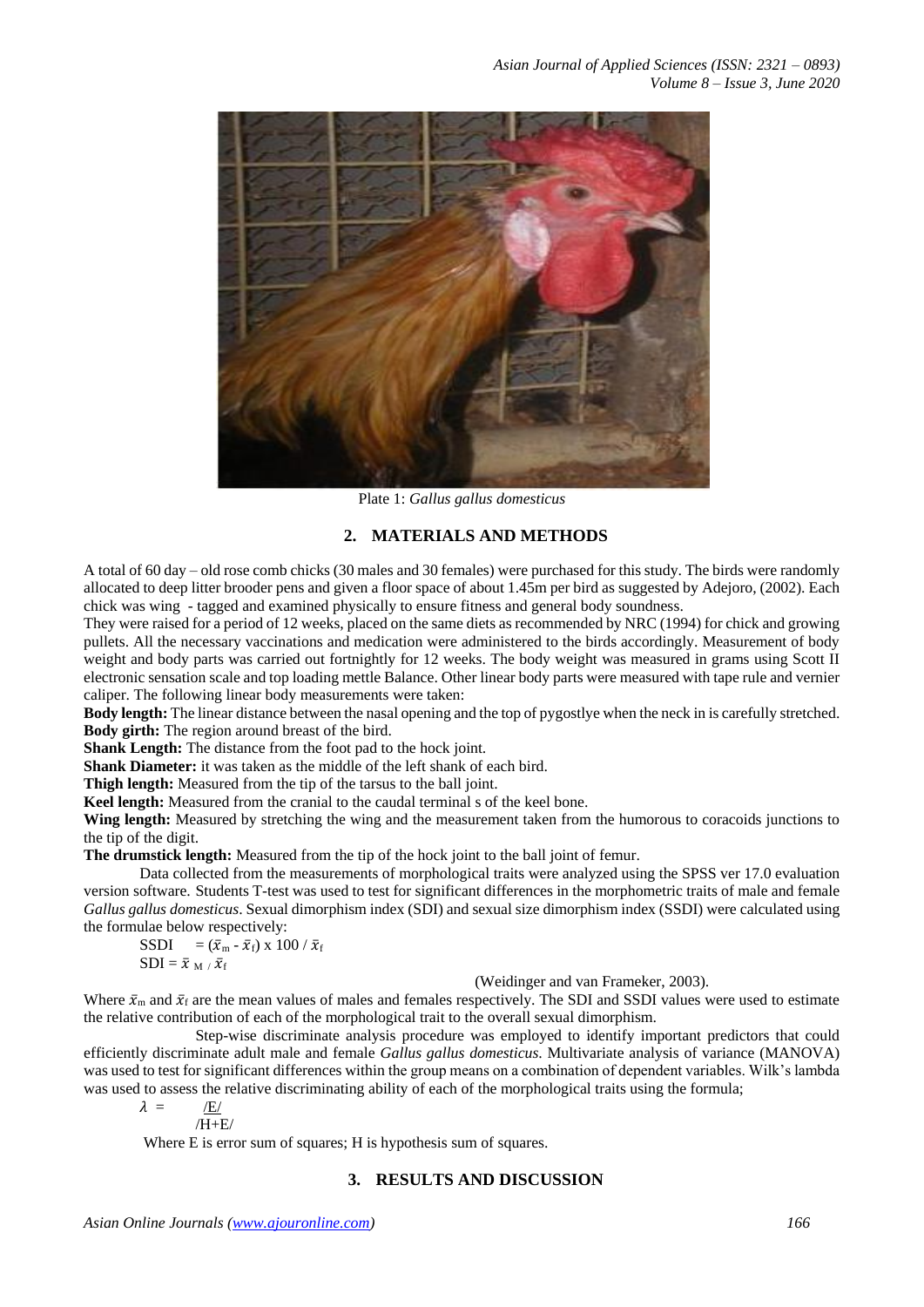

Plate 1: *Gallus gallus domesticus*

# **2. MATERIALS AND METHODS**

A total of 60 day – old rose comb chicks (30 males and 30 females) were purchased for this study. The birds were randomly allocated to deep litter brooder pens and given a floor space of about 1.45m per bird as suggested by Adejoro, (2002). Each chick was wing - tagged and examined physically to ensure fitness and general body soundness.

They were raised for a period of 12 weeks, placed on the same diets as recommended by NRC (1994) for chick and growing pullets. All the necessary vaccinations and medication were administered to the birds accordingly. Measurement of body weight and body parts was carried out fortnightly for 12 weeks. The body weight was measured in grams using Scott II electronic sensation scale and top loading mettle Balance. Other linear body parts were measured with tape rule and vernier caliper. The following linear body measurements were taken:

**Body length:** The linear distance between the nasal opening and the top of pygostlye when the neck in is carefully stretched. **Body girth:** The region around breast of the bird.

**Shank Length:** The distance from the foot pad to the hock joint.

**Shank Diameter:** it was taken as the middle of the left shank of each bird.

**Thigh length:** Measured from the tip of the tarsus to the ball joint.

**Keel length:** Measured from the cranial to the caudal terminal s of the keel bone.

**Wing length:** Measured by stretching the wing and the measurement taken from the humorous to coracoids junctions to the tip of the digit.

**The drumstick length:** Measured from the tip of the hock joint to the ball joint of femur.

Data collected from the measurements of morphological traits were analyzed using the SPSS ver 17.0 evaluation version software. Students T-test was used to test for significant differences in the morphometric traits of male and female *Gallus gallus domesticus*. Sexual dimorphism index (SDI) and sexual size dimorphism index (SSDI) were calculated using the formulae below respectively:

SSDI =  $(\bar{x}_{\text{m}} - \bar{x}_{\text{f}})$  x 100 /  $\bar{x}_{\text{f}}$  $SDI = \bar{x}_{M} / \bar{x}_{f}$ 

(Weidinger and van Frameker, 2003).

Where  $\bar{x}_m$  and  $\bar{x}_f$  are the mean values of males and females respectively. The SDI and SSDI values were used to estimate the relative contribution of each of the morphological trait to the overall sexual dimorphism.

Step-wise discriminate analysis procedure was employed to identify important predictors that could efficiently discriminate adult male and female *Gallus gallus domesticus*. Multivariate analysis of variance (MANOVA) was used to test for significant differences within the group means on a combination of dependent variables. Wilk's lambda was used to assess the relative discriminating ability of each of the morphological traits using the formula;

$$
\lambda = \frac{1}{\sqrt{E/2}}
$$

/H+E/

Where E is error sum of squares; H is hypothesis sum of squares.

# **3. RESULTS AND DISCUSSION**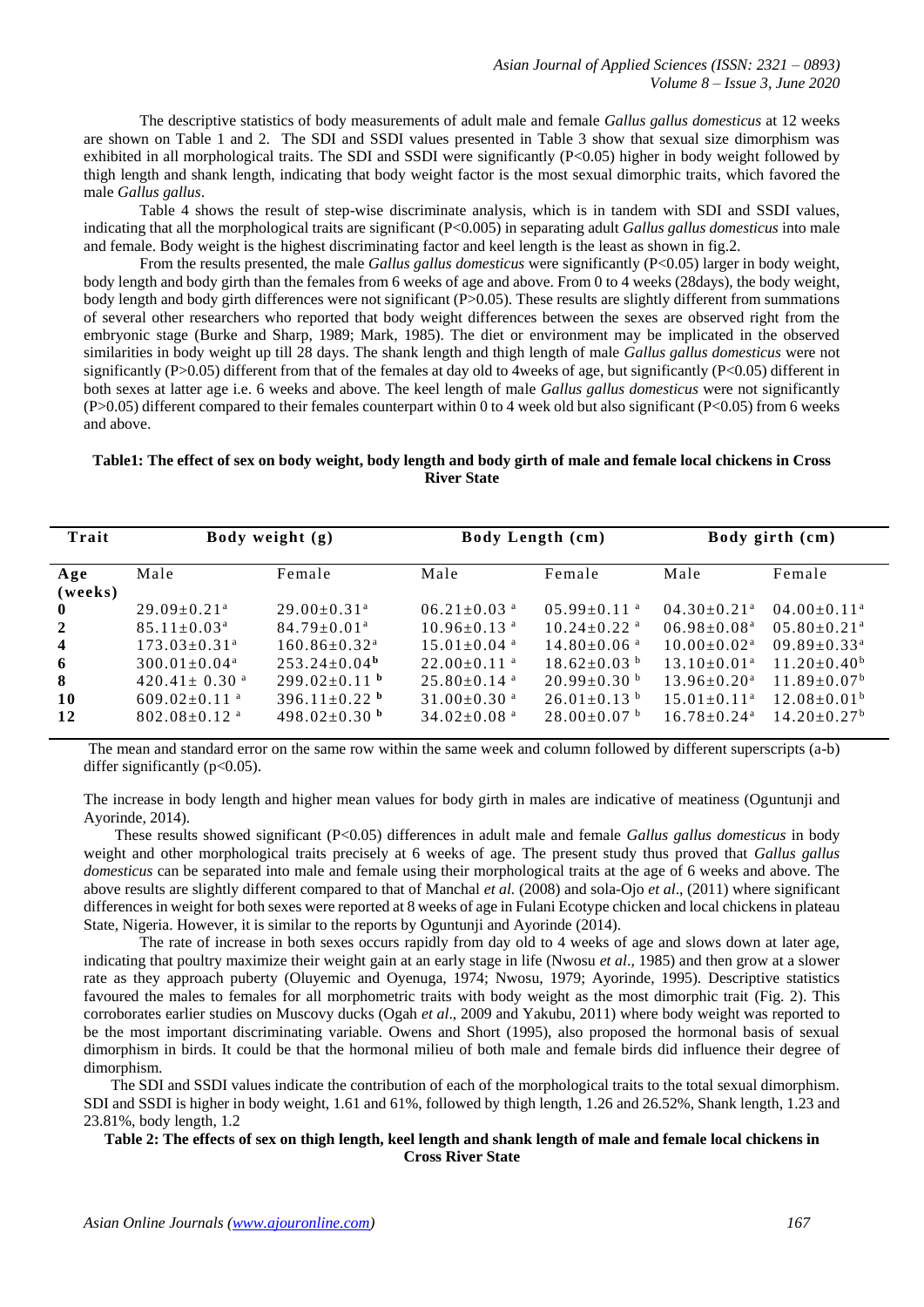The descriptive statistics of body measurements of adult male and female *Gallus gallus domesticus* at 12 weeks are shown on Table 1 and 2. The SDI and SSDI values presented in Table 3 show that sexual size dimorphism was exhibited in all morphological traits. The SDI and SSDI were significantly (P<0.05) higher in body weight followed by thigh length and shank length, indicating that body weight factor is the most sexual dimorphic traits, which favored the male *Gallus gallus*.

Table 4 shows the result of step-wise discriminate analysis, which is in tandem with SDI and SSDI values, indicating that all the morphological traits are significant (P<0.005) in separating adult *Gallus gallus domesticus* into male and female. Body weight is the highest discriminating factor and keel length is the least as shown in fig.2.

From the results presented, the male *Gallus gallus domesticus* were significantly (P<0.05) larger in body weight, body length and body girth than the females from 6 weeks of age and above. From 0 to 4 weeks (28days), the body weight, body length and body girth differences were not significant (P>0.05). These results are slightly different from summations of several other researchers who reported that body weight differences between the sexes are observed right from the embryonic stage (Burke and Sharp, 1989; Mark, 1985). The diet or environment may be implicated in the observed similarities in body weight up till 28 days. The shank length and thigh length of male *Gallus gallus domesticus* were not significantly (P $>0.05$ ) different from that of the females at day old to 4weeks of age, but significantly (P $<0.05$ ) different in both sexes at latter age i.e. 6 weeks and above. The keel length of male *Gallus gallus domesticus* were not significantly  $(P>0.05)$  different compared to their females counterpart within 0 to 4 week old but also significant (P<0.05) from 6 weeks and above.

### **Table1: The effect of sex on body weight, body length and body girth of male and female local chickens in Cross River State**

| Trait                                        |                                                                                                                                                                                                                                        | Body weight (g)                                                                                                                                                                                               |                                                                                                                                                                                                                             | <b>Body Length (cm)</b>                                                                                                                                                                |                                                                                                                                                                                                                      | Body girth (cm)                                                                                                                                                                                                    |
|----------------------------------------------|----------------------------------------------------------------------------------------------------------------------------------------------------------------------------------------------------------------------------------------|---------------------------------------------------------------------------------------------------------------------------------------------------------------------------------------------------------------|-----------------------------------------------------------------------------------------------------------------------------------------------------------------------------------------------------------------------------|----------------------------------------------------------------------------------------------------------------------------------------------------------------------------------------|----------------------------------------------------------------------------------------------------------------------------------------------------------------------------------------------------------------------|--------------------------------------------------------------------------------------------------------------------------------------------------------------------------------------------------------------------|
| Age<br>(weeks)                               | Male                                                                                                                                                                                                                                   | Female                                                                                                                                                                                                        | Male                                                                                                                                                                                                                        | Female                                                                                                                                                                                 | Male                                                                                                                                                                                                                 | Female                                                                                                                                                                                                             |
| $\mathbf{0}$<br>2<br>4<br>6<br>8<br>10<br>12 | $29.09 \pm 0.21$ <sup>a</sup><br>$85.11 \pm 0.03^{\text{a}}$<br>$173.03 \pm 0.31$ <sup>a</sup><br>$300.01 \pm 0.04$ <sup>a</sup><br>$420.41 \pm 0.30$ <sup>a</sup><br>$609.02 \pm 0.11$ <sup>a</sup><br>$802.08 \pm 0.12$ <sup>a</sup> | $29.00 \pm 0.31$ <sup>a</sup><br>$84.79 \pm 0.01$ <sup>a</sup><br>$160.86 \pm 0.32$ <sup>a</sup><br>$253.24 \pm 0.04^{\mathrm{b}}$<br>$299.02 \pm 0.11$ b<br>396.11 $\pm$ 0.22 <sup>b</sup><br>$498.02+0.30b$ | $06.21 \pm 0.03$ <sup>a</sup><br>$10.96 \pm 0.13$ <sup>a</sup><br>$15.01 \pm 0.04$ <sup>a</sup><br>$22.00+0.11$ <sup>a</sup><br>$25.80 \pm 0.14$ <sup>a</sup><br>$31.00 \pm 0.30$ <sup>a</sup><br>$34.02+0.08$ <sup>a</sup> | $0.5.99 \pm 0.11$ <sup>a</sup><br>$10.24 \pm 0.22$ <sup>a</sup><br>$14.80 \pm 0.06$ <sup>a</sup><br>$18.62 \pm 0.03$ b<br>$20.99 \pm 0.30$ b<br>$26.01 \pm 0.13$ b<br>$28.00\pm0.07$ b | $04.30 \pm 0.21$ <sup>a</sup><br>$06.98 \pm 0.08$ <sup>a</sup><br>$10.00 \pm 0.02$ <sup>a</sup><br>$13.10\pm0.01^a$<br>$13.96 \pm 0.20$ <sup>a</sup><br>$15.01 \pm 0.11$ <sup>a</sup><br>$16.78 + 0.24$ <sup>a</sup> | $04.00 \pm 0.11$ <sup>a</sup><br>$0.5.80 \pm 0.21$ <sup>a</sup><br>$09.89 \pm 0.33$ <sup>a</sup><br>$11.20 \pm 0.40^b$<br>$11.89 \pm 0.07^{\rm b}$<br>$12.08 \pm 0.01^{\mathrm{b}}$<br>$14.20 + 0.27$ <sup>b</sup> |

The mean and standard error on the same row within the same week and column followed by different superscripts (a-b) differ significantly  $(p<0.05)$ .

The increase in body length and higher mean values for body girth in males are indicative of meatiness (Oguntunji and Ayorinde, 2014).

 These results showed significant (P<0.05) differences in adult male and female *Gallus gallus domesticus* in body weight and other morphological traits precisely at 6 weeks of age. The present study thus proved that *Gallus gallus domesticus* can be separated into male and female using their morphological traits at the age of 6 weeks and above. The above results are slightly different compared to that of Manchal *et al.* (2008) and sola-Ojo *et al*., (2011) where significant differences in weight for both sexes were reported at 8 weeks of age in Fulani Ecotype chicken and local chickens in plateau State, Nigeria. However, it is similar to the reports by Oguntunji and Ayorinde (2014).

The rate of increase in both sexes occurs rapidly from day old to 4 weeks of age and slows down at later age, indicating that poultry maximize their weight gain at an early stage in life (Nwosu *et al*., 1985) and then grow at a slower rate as they approach puberty (Oluyemic and Oyenuga, 1974; Nwosu, 1979; Ayorinde, 1995). Descriptive statistics favoured the males to females for all morphometric traits with body weight as the most dimorphic trait (Fig. 2). This corroborates earlier studies on Muscovy ducks (Ogah *et al*., 2009 and Yakubu, 2011) where body weight was reported to be the most important discriminating variable. Owens and Short (1995), also proposed the hormonal basis of sexual dimorphism in birds. It could be that the hormonal milieu of both male and female birds did influence their degree of dimorphism.

 The SDI and SSDI values indicate the contribution of each of the morphological traits to the total sexual dimorphism. SDI and SSDI is higher in body weight, 1.61 and 61%, followed by thigh length, 1.26 and 26.52%, Shank length, 1.23 and 23.81%, body length, 1.2

#### **Table 2: The effects of sex on thigh length, keel length and shank length of male and female local chickens in Cross River State**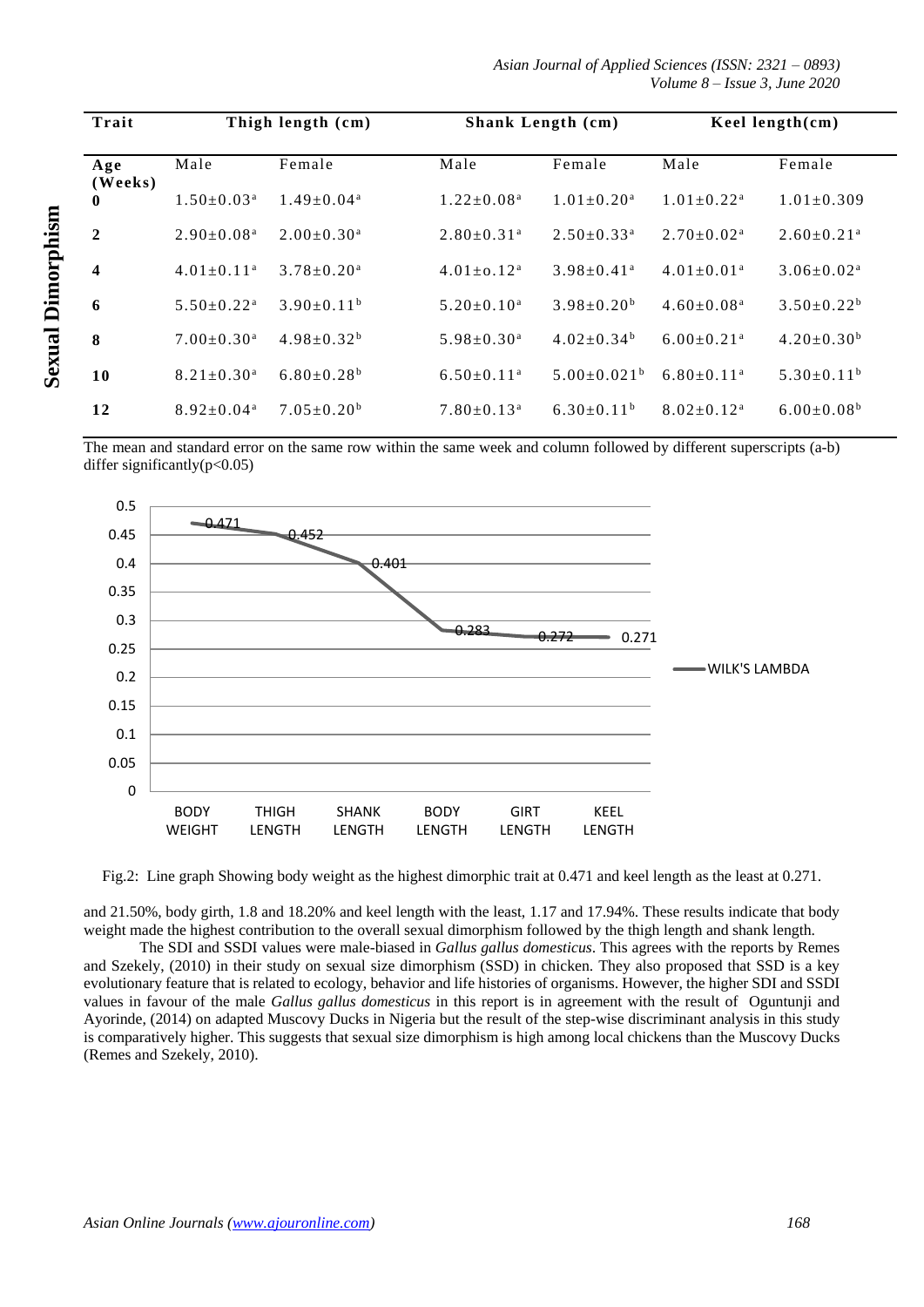*Asian Journal of Applied Sciences (ISSN: 2321 – 0893) Volume 8 – Issue 3, June 2020*

| Trait                   |                              | Thigh length (cm)            |                              | <b>Shank Length (cm)</b>      |                              | Keel length $(cm)$           |
|-------------------------|------------------------------|------------------------------|------------------------------|-------------------------------|------------------------------|------------------------------|
| Age                     | Male                         | Female                       | Male                         | Female                        | Male                         | Female                       |
| (Weeks)<br>$\mathbf{0}$ | $1.50 \pm 0.03^{\text{a}}$   | $1.49 \pm 0.04^a$            | $1.22 \pm 0.08^a$            | $1.01 \pm 0.20$ <sup>a</sup>  | $1.01 \pm 0.22$ <sup>a</sup> | $1.01 \pm 0.309$             |
| $\mathbf{2}$            | $2.90 \pm 0.08$ <sup>a</sup> | $2.00 \pm 0.30^{\text{a}}$   | $2.80 \pm 0.31$ <sup>a</sup> | $2.50 \pm 0.33$ <sup>a</sup>  | $2.70 \pm 0.02^{\text{a}}$   | $2.60 \pm 0.21$ <sup>a</sup> |
| 4                       | $4.01 \pm 0.11$ <sup>a</sup> | $3.78 \pm 0.20$ <sup>a</sup> | $4.01 + 0.12^a$              | $3.98 \pm 0.41$ <sup>a</sup>  | $4.01 \pm 0.01$ <sup>a</sup> | $3.06 \pm 0.02^{\text{a}}$   |
| 6                       | $5.50 \pm 0.22$ <sup>a</sup> | $3.90 \pm 0.11^b$            | $5.20 \pm 0.10^a$            | $3.98 \pm 0.20^b$             | $4.60 \pm 0.08$ <sup>a</sup> | $3.50 \pm 0.22^b$            |
| 8                       | $7.00 \pm 0.30$ <sup>a</sup> | $4.98 \pm 0.32^b$            | $5.98 \pm 0.30^a$            | $4.02 \pm 0.34^b$             | $6.00 \pm 0.21$ <sup>a</sup> | $4.20 \pm 0.30^b$            |
| 10                      | $8.21 \pm 0.30$ <sup>a</sup> | $6.80 \pm 0.28$ <sup>b</sup> | $6.50 \pm 0.11$ <sup>a</sup> | $5.00 \pm 0.021$ <sup>b</sup> | $6.80 \pm 0.11$ <sup>a</sup> | $5.30\pm0.11^b$              |
| 12                      | $8.92 \pm 0.04$ <sup>a</sup> | $7.05 \pm 0.20^b$            | $7.80 \pm 0.13$ <sup>a</sup> | $6.30\pm0.11^{b}$             | $8.02 \pm 0.12$ <sup>a</sup> | $6.00 \pm 0.08$ <sup>b</sup> |

The mean and standard error on the same row within the same week and column followed by different superscripts (a-b) differ significantly( $p<0.05$ )



Fig.2: Line graph Showing body weight as the highest dimorphic trait at 0.471 and keel length as the least at 0.271.

and 21.50%, body girth, 1.8 and 18.20% and keel length with the least, 1.17 and 17.94%. These results indicate that body weight made the highest contribution to the overall sexual dimorphism followed by the thigh length and shank length.

The SDI and SSDI values were male-biased in *Gallus gallus domesticus*. This agrees with the reports by Remes and Szekely, (2010) in their study on sexual size dimorphism (SSD) in chicken. They also proposed that SSD is a key evolutionary feature that is related to ecology, behavior and life histories of organisms. However, the higher SDI and SSDI values in favour of the male *Gallus gallus domesticus* in this report is in agreement with the result of Oguntunji and Ayorinde, (2014) on adapted Muscovy Ducks in Nigeria but the result of the step-wise discriminant analysis in this study is comparatively higher. This suggests that sexual size dimorphism is high among local chickens than the Muscovy Ducks (Remes and Szekely, 2010).

**Sexual Dimorphism Sexual Dimorphism**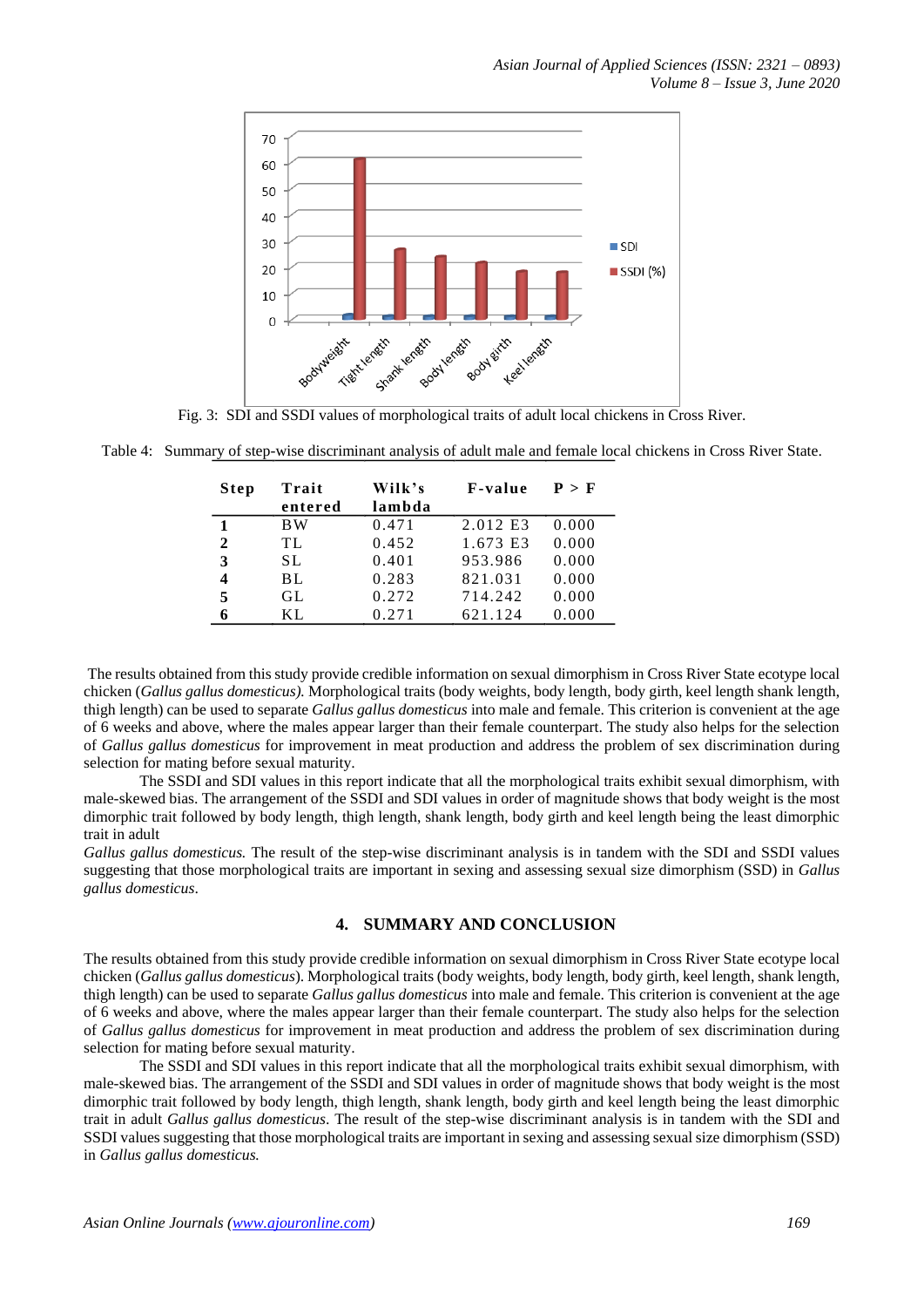

Fig. 3: SDI and SSDI values of morphological traits of adult local chickens in Cross River.

Table 4: Summary of step-wise discriminant analysis of adult male and female local chickens in Cross River State.

| Step         | Trait<br>entered | Wilk's<br>lambda | <b>F</b> -value | P > F |
|--------------|------------------|------------------|-----------------|-------|
| 1            | <b>BW</b>        | 0.471            | 2.012 E3        | 0.000 |
| $\mathbf{2}$ | TL               | 0.452            | 1.673 E3        | 0.000 |
| 3            | SL.              | 0.401            | 953.986         | 0.000 |
| 4            | BL               | 0.283            | 821.031         | 0.000 |
| 5            | GL               | 0.272            | 714.242         | 0.000 |
| 6            | KL.              | 0.271            | 621.124         | 0.000 |

The results obtained from this study provide credible information on sexual dimorphism in Cross River State ecotype local chicken (*Gallus gallus domesticus).* Morphological traits (body weights, body length, body girth, keel length shank length, thigh length) can be used to separate *Gallus gallus domesticus* into male and female. This criterion is convenient at the age of 6 weeks and above, where the males appear larger than their female counterpart. The study also helps for the selection of *Gallus gallus domesticus* for improvement in meat production and address the problem of sex discrimination during selection for mating before sexual maturity.

The SSDI and SDI values in this report indicate that all the morphological traits exhibit sexual dimorphism, with male-skewed bias. The arrangement of the SSDI and SDI values in order of magnitude shows that body weight is the most dimorphic trait followed by body length, thigh length, shank length, body girth and keel length being the least dimorphic trait in adult

*Gallus gallus domesticus.* The result of the step-wise discriminant analysis is in tandem with the SDI and SSDI values suggesting that those morphological traits are important in sexing and assessing sexual size dimorphism (SSD) in *Gallus gallus domesticus*.

# **4. SUMMARY AND CONCLUSION**

The results obtained from this study provide credible information on sexual dimorphism in Cross River State ecotype local chicken (*Gallus gallus domesticus*). Morphological traits (body weights, body length, body girth, keel length, shank length, thigh length) can be used to separate *Gallus gallus domesticus* into male and female. This criterion is convenient at the age of 6 weeks and above, where the males appear larger than their female counterpart. The study also helps for the selection of *Gallus gallus domesticus* for improvement in meat production and address the problem of sex discrimination during selection for mating before sexual maturity.

The SSDI and SDI values in this report indicate that all the morphological traits exhibit sexual dimorphism, with male-skewed bias. The arrangement of the SSDI and SDI values in order of magnitude shows that body weight is the most dimorphic trait followed by body length, thigh length, shank length, body girth and keel length being the least dimorphic trait in adult *Gallus gallus domesticus*. The result of the step-wise discriminant analysis is in tandem with the SDI and SSDI values suggesting that those morphological traits are important in sexing and assessing sexual size dimorphism (SSD) in *Gallus gallus domesticus.*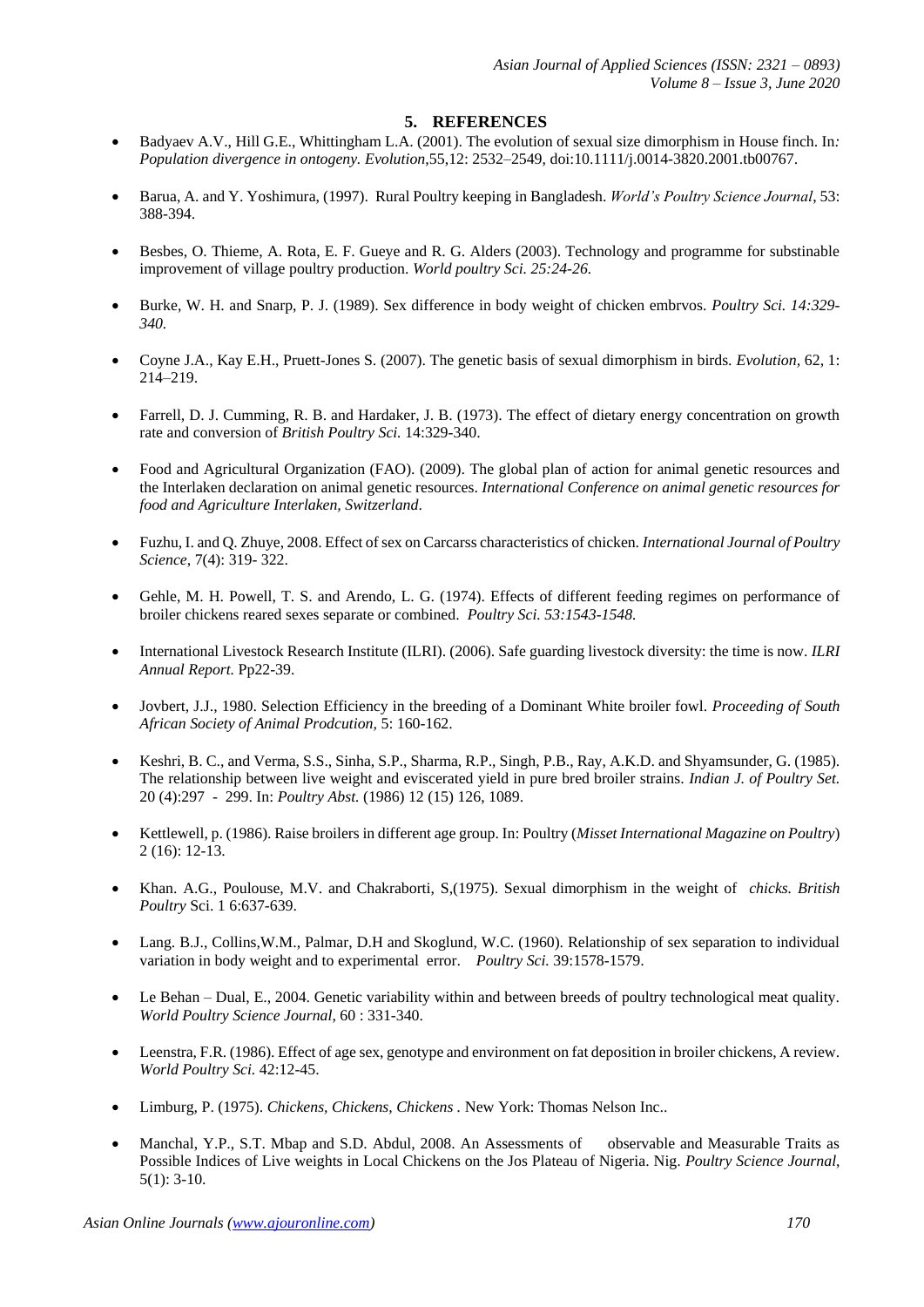# **5. REFERENCES**

- Badyaev A.V., Hill G.E., Whittingham L.A. (2001). The evolution of sexual size dimorphism in House finch. In*: Population divergence in ontogeny. Evolution*,55,12: 2532–2549, doi:10.1111/j.0014-3820.2001.tb00767.
- Barua, A. and Y. Yoshimura, (1997). Rural Poultry keeping in Bangladesh. *World's Poultry Science Journal*, 53: 388-394.
- Besbes, O. Thieme, A. Rota, E. F. Gueye and R. G. Alders (2003). Technology and programme for substinable improvement of village poultry production. *World poultry Sci. 25:24-26.*
- Burke, W. H. and Snarp, P. J. (1989). Sex difference in body weight of chicken embrvos. *Poultry Sci. 14:329- 340.*
- Coyne J.A., Kay E.H., Pruett-Jones S. (2007). The genetic basis of sexual dimorphism in birds. *Evolution,* 62, 1: 214–219.
- Farrell, D. J. Cumming, R. B. and Hardaker, J. B. (1973). The effect of dietary energy concentration on growth rate and conversion of *British Poultry Sci.* 14:329-340.
- Food and Agricultural Organization (FAO). (2009). The global plan of action for animal genetic resources and the Interlaken declaration on animal genetic resources. *International Conference on animal genetic resources for food and Agriculture Interlaken, Switzerland*.
- Fuzhu, I. and Q. Zhuye, 2008. Effect of sex on Carcarss characteristics of chicken*. International Journal of Poultry Science*, 7(4): 319- 322.
- Gehle, M. H. Powell, T. S. and Arendo, L. G. (1974). Effects of different feeding regimes on performance of broiler chickens reared sexes separate or combined. *Poultry Sci. 53:1543-1548.*
- International Livestock Research Institute (ILRI). (2006). Safe guarding livestock diversity: the time is now. *ILRI Annual Report.* Pp22-39.
- Jovbert, J.J., 1980. Selection Efficiency in the breeding of a Dominant White broiler fowl. *Proceeding of South African Society of Animal Prodcution,* 5: 160-162.
- Keshri, B. C., and Verma, S.S., Sinha, S.P., Sharma, R.P., Singh, P.B., Ray, A.K.D. and Shyamsunder, G. (1985). The relationship between live weight and eviscerated yield in pure bred broiler strains. *Indian J. of Poultry Set.*  20 (4):297 - 299. In: *Poultry Abst.* (1986) 12 (15) 126, 1089.
- Kettlewell, p. (1986). Raise broilers in different age group. In: Poultry (*Misset International Magazine on Poultry*) 2 (16): 12-13.
- Khan. A.G., Poulouse, M.V. and Chakraborti, S,(1975). Sexual dimorphism in the weight of *chicks. British Poultry* Sci. 1 6:637-639.
- Lang. B.J., Collins,W.M., Palmar, D.H and Skoglund, W.C. (1960). Relationship of sex separation to individual variation in body weight and to experimental error. *Poultry Sci.* 39:1578-1579.
- Le Behan Dual, E., 2004. Genetic variability within and between breeds of poultry technological meat quality. *World Poultry Science Journal*, 60 : 331-340.
- Leenstra, F.R. (1986). Effect of age sex, genotype and environment on fat deposition in broiler chickens, A review. *World Poultry Sci.* 42:12-45.
- Limburg, P. (1975). *Chickens, Chickens, Chickens .* New York: Thomas Nelson Inc..
- Manchal, Y.P., S.T. Mbap and S.D. Abdul, 2008. An Assessments of observable and Measurable Traits as Possible Indices of Live weights in Local Chickens on the Jos Plateau of Nigeria. Nig*. Poultry Science Journal*, 5(1): 3-10.